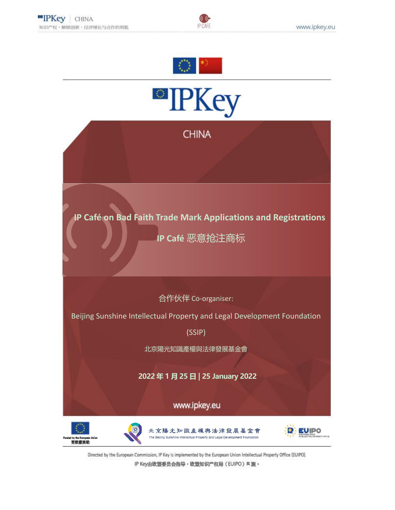





Directed by the European Commission, IP Key is implemented by the European Union Intellectual Property Office (EUIPO). IP Key由欧盟委员会指导,欧盟知识产权局(EUIPO) 实施。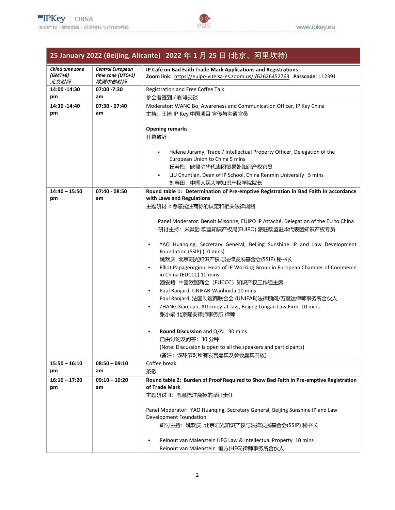## **25 January 2022 (Beijing, Alicante) 2022 年 1 月 25 日 (北京、阿里坎特)**

IP CAFE

| China time zone | <b>Central European</b> | IP Café on Bad Faith Trade Mark Applications and Registrations                             |
|-----------------|-------------------------|--------------------------------------------------------------------------------------------|
| $(GMT+8)$       | time zone $(UTC+1)$     | Zoom link: https://euipo-vitelsa-es.zoom.us/j/62626452763 Passcode: 112391                 |
| 北京时间            | 欧洲中部时间                  |                                                                                            |
| 14:00 - 14:30   | 07:00 -7:30             | Registration and Free Coffee Talk                                                          |
| pm              | am                      | 参会者签到 / 咖啡交谈                                                                               |
| 14:30 - 14:40   | $07:30 - 07:40$         | Moderator: WANG Bo, Awareness and Communication Officer, IP Key China                      |
| pm              | am                      |                                                                                            |
|                 |                         | 主持: 王博 IP Key 中国项目 宣传与沟通官员                                                                 |
|                 |                         |                                                                                            |
|                 |                         | <b>Opening remarks</b>                                                                     |
|                 |                         | 开幕致辞                                                                                       |
|                 |                         |                                                                                            |
|                 |                         | Helene Juramy, Trade / Intellectual Property Officer, Delegation of the                    |
|                 |                         | European Union to China 5 mins                                                             |
|                 |                         | 丘若梅,欧盟驻华代表团贸易处知识产权官员                                                                       |
|                 |                         | LIU Chuntian, Dean of IP School, China Renmin University 5 mins                            |
|                 |                         | 刘春田,中国人民大学知识产权学院院长                                                                         |
| $14:40 - 15:50$ | $07:40 - 08:50$         | Round table 1: Determination of Pre-emptive Registration in Bad Faith in accordance        |
| pm              | am                      | with Laws and Regulations                                                                  |
|                 |                         | 主题研讨 !: 恶意抢注商标的认定和相关法律规制                                                                   |
|                 |                         |                                                                                            |
|                 |                         | Panel Moderator: Benoit Misonne, EUIPO IP Attaché, Delegation of the EU to China           |
|                 |                         | 研讨主持:米默勤 欧盟知识产权局(EUIPO) 派驻欧盟驻华代表团知识产权专员                                                    |
|                 |                         |                                                                                            |
|                 |                         | YAO Huanqing, Secretary General, Beijing Sunshine IP and Law Development<br>$\bullet$      |
|                 |                         | Foundation (SSIP) (10 mins)                                                                |
|                 |                         | 姚欢庆 北京阳光知识产权与法律发展基金会(SSIP) 秘书长                                                             |
|                 |                         | Elliot Papageorgiou, Head of IP Working Group in European Chamber of Commerce<br>$\bullet$ |
|                 |                         | in China (EUCCC) 10 mins                                                                   |
|                 |                         | 潘安略 中国欧盟商会 (EUCCC) 知识产权工作组主席                                                               |
|                 |                         | Paul Ranjard, UNIFAB-Wanhuida 10 mins<br>$\bullet$                                         |
|                 |                         | Paul Ranjard, 法国制造商联合会 (UNIFAB)法律顾问/万慧达律师事务所合伙人                                            |
|                 |                         | ZHANG Xiaojuan, Attorney-at-law, Beijing Longan Law Firm, 10 mins<br>$\bullet$             |
|                 |                         | 张小娟 北京隆安律师事务所 律师                                                                           |
|                 |                         |                                                                                            |
|                 |                         |                                                                                            |
|                 |                         | <b>Round Discussion and Q/A: 30 mins</b><br>$\bullet$                                      |
|                 |                         | 自由讨论及问答: 30 分钟                                                                             |
|                 |                         | (Note: Discussion is open to all the speakers and participants)                            |
|                 |                         | (备注: 该环节对所有发言嘉宾及参会嘉宾开放)                                                                    |
| $15:50 - 16:10$ | $08:50 - 09:10$         | Coffee break                                                                               |
| pm              | am                      | 茶歇                                                                                         |
| $16:10 - 17:20$ | $09:10 - 10:20$         | Round table 2: Burden of Proof Required to Show Bad Faith in Pre-emptive Registration      |
| pm              | am                      | of Trade Mark                                                                              |
|                 |                         | 主题研讨 II: 恶意抢注商标的举证责任                                                                       |
|                 |                         |                                                                                            |
|                 |                         | Panel Moderator: YAO Huanging, Secretary General, Beijing Sunshine IP and Law              |
|                 |                         | Development Foundation                                                                     |
|                 |                         | 研讨主持: 姚欢庆 北京阳光知识产权与法律发展基金会(SSIP) 秘书长                                                       |
|                 |                         |                                                                                            |
|                 |                         | Reinout van Malenstein HFG Law & Intellectual Property 10 mins<br>$\bullet$                |
|                 |                         | Reinout van Malenstein 恒方(HFG)律师事务所合伙人                                                     |